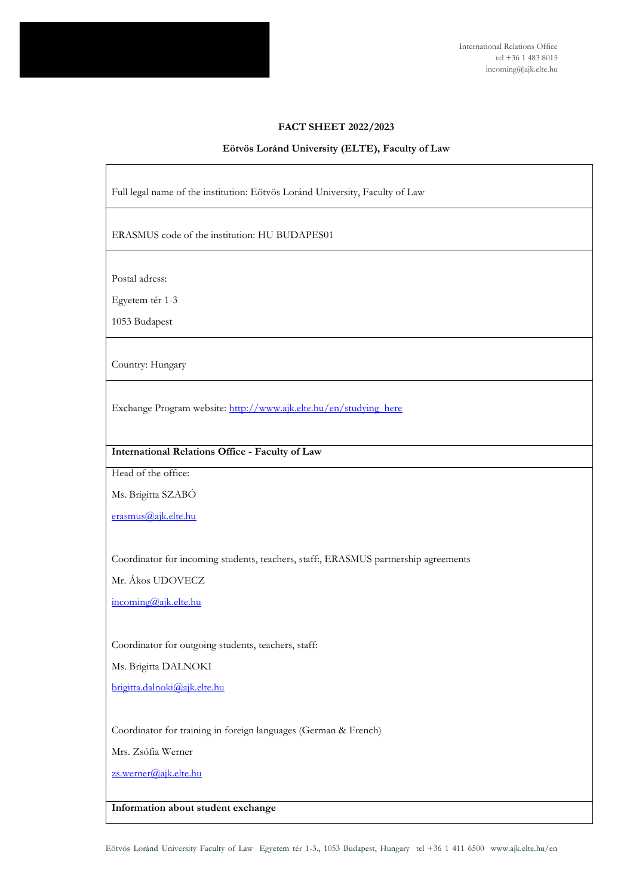

International Relations Office tel +36 1 483 8015 incoming@ajk.elte.hu

#### **FACT SHEET 2022/2023**

#### **Eötvös Loránd University (ELTE), Faculty of Law**

Full legal name of the institution: Eötvös Loránd University, Faculty of Law

ERASMUS code of the institution: HU BUDAPES01

Postal adress:

Egyetem tér 1-3

1053 Budapest

Country: Hungary

Exchange Program website: [http://www.ajk.elte.hu/en/studying\\_here](http://www.ajk.elte.hu/en/studying_here)

# **International Relations Office - Faculty of Law**

Head of the office:

Ms. Brigitta SZABÓ

[erasmus@ajk.elte.hu](mailto:erasmus@ajk.elte.hu)

Coordinator for incoming students, teachers, staff:, ERASMUS partnership agreements

Mr. Ákos UDOVECZ

[incoming@ajk.elte.hu](mailto:incoming@ajk.elte.hu)

Coordinator for outgoing students, teachers, staff:

Ms. Brigitta DALNOKI

[brigitta.dalnoki@ajk.elte.hu](mailto:brigitta.dalnoki@ajk.elte.hu)

Coordinator for training in foreign languages (German & French)

Mrs. Zsófia Werner

[zs.werner@ajk.elte.hu](mailto:zs.werner@ajk.elte.hu)

#### **Information about student exchange**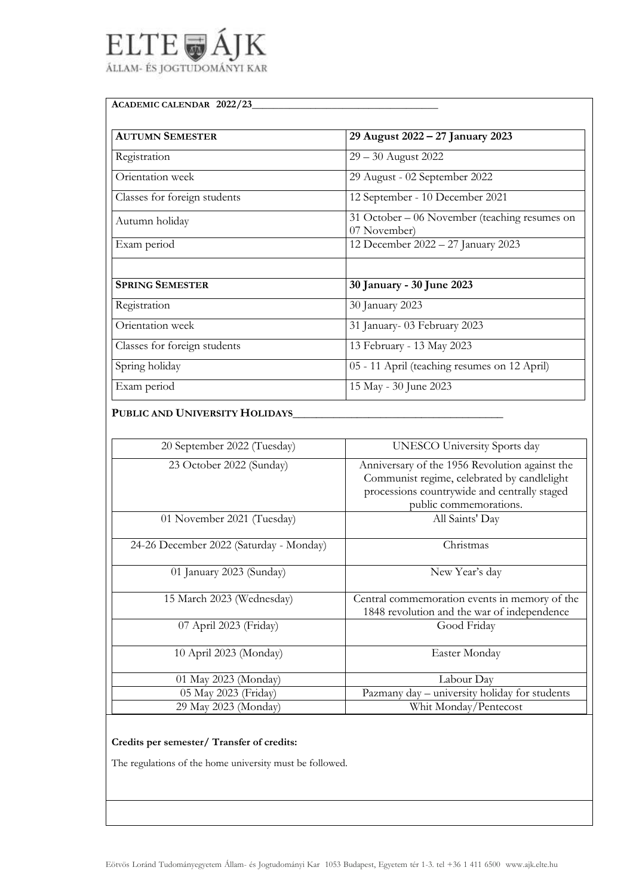# ELTE<sub>@</sub>A Κ ÁLLAM- ÉS JOGTUDOMÁNYI KAR

## **ACADEMIC CALENDAR 2022/23**\_\_\_\_\_\_\_\_\_\_\_\_\_\_\_\_\_\_\_\_\_\_\_\_\_\_\_\_\_\_\_\_\_\_\_

| <b>AUTUMN SEMESTER</b>       | 29 August 2022 – 27 January 2023                               |
|------------------------------|----------------------------------------------------------------|
| Registration                 | $29 - 30$ August 2022                                          |
| Orientation week             | 29 August - 02 September 2022                                  |
| Classes for foreign students | 12 September - 10 December 2021                                |
| Autumn holiday               | 31 October $-06$ November (teaching resumes on<br>07 November) |
| Exam period                  | 12 December 2022 - 27 January 2023                             |
|                              |                                                                |
| <b>SPRING SEMESTER</b>       | 30 January - 30 June 2023                                      |
| Registration                 | 30 January 2023                                                |
| Orientation week             | 31 January- 03 February 2023                                   |
| Classes for foreign students | 13 February - 13 May 2023                                      |
| Spring holiday               | 05 - 11 April (teaching resumes on 12 April)                   |
| Exam period                  | 15 May - 30 June 2023                                          |

# **PUBLIC AND UNIVERSITY HOLIDAYS**\_\_\_\_\_\_\_\_\_\_\_\_\_\_\_\_\_\_\_\_\_\_\_\_\_\_\_\_\_\_\_\_\_\_\_\_

| 20 September 2022 (Tuesday)             | UNESCO University Sports day                   |
|-----------------------------------------|------------------------------------------------|
| 23 October 2022 (Sunday)                | Anniversary of the 1956 Revolution against the |
|                                         | Communist regime, celebrated by candlelight    |
|                                         | processions countrywide and centrally staged   |
|                                         |                                                |
|                                         | public commemorations.                         |
| 01 November 2021 (Tuesday)              | All Saints' Day                                |
|                                         |                                                |
| 24-26 December 2022 (Saturday - Monday) | Christmas                                      |
|                                         |                                                |
| 01 January 2023 (Sunday)                | New Year's day                                 |
|                                         |                                                |
| 15 March 2023 (Wednesday)               | Central commemoration events in memory of the  |
|                                         | 1848 revolution and the war of independence    |
| 07 April 2023 (Friday)                  | Good Friday                                    |
|                                         |                                                |
| 10 April 2023 (Monday)                  | Easter Monday                                  |
|                                         |                                                |
| 01 May 2023 (Monday)                    | Labour Day                                     |
| 05 May 2023 (Friday)                    | Pazmany day - university holiday for students  |
| 29 May 2023 (Monday)                    | Whit Monday/Pentecost                          |
|                                         |                                                |

# **Credits per semester/ Transfer of credits:**

The regulations of the home university must be followed.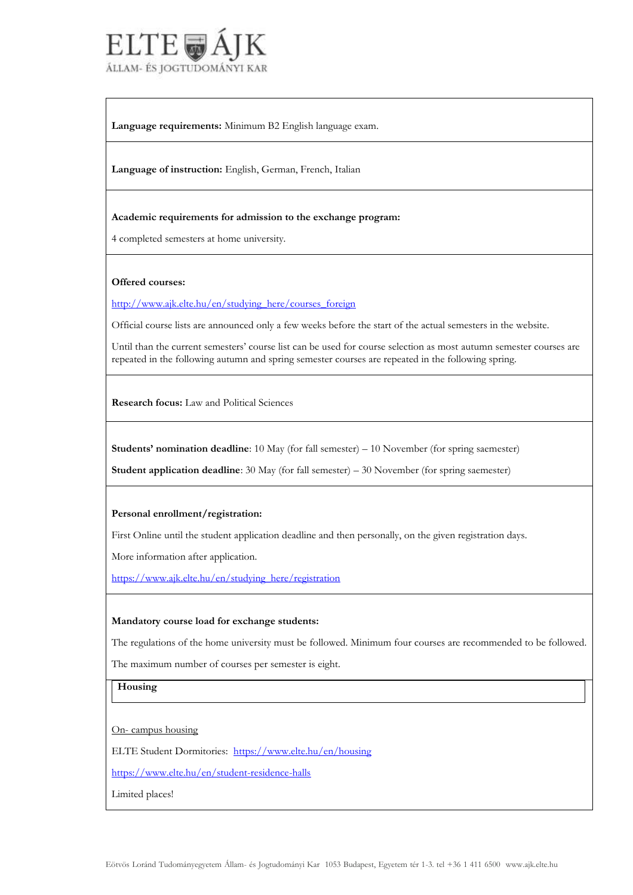

**Language requirements:** Minimum B2 English language exam.

**Language of instruction:** English, German, French, Italian

#### **Academic requirements for admission to the exchange program:**

4 completed semesters at home university.

#### **Offered courses:**

[http://www.ajk.elte.hu/en/studying\\_here/courses\\_foreign](http://www.ajk.elte.hu/en/studying_here/courses_foreign)

Official course lists are announced only a few weeks before the start of the actual semesters in the website.

Until than the current semesters' course list can be used for course selection as most autumn semester courses are repeated in the following autumn and spring semester courses are repeated in the following spring.

**Research focus:** Law and Political Sciences

**Students' nomination deadline**: 10 May (for fall semester) – 10 November (for spring saemester)

**Student application deadline**: 30 May (for fall semester) – 30 November (for spring saemester)

#### **Personal enrollment/registration:**

First Online until the student application deadline and then personally, on the given registration days.

More information after application.

[https://www.ajk.elte.hu/en/studying\\_here/registration](https://www.ajk.elte.hu/en/studying_here/registration)

#### **Mandatory course load for exchange students:**

The regulations of the home university must be followed. Minimum four courses are recommended to be followed.

The maximum number of courses per semester is eight.

**Housing**

On- campus housing

ELTE Student Dormitories: <https://www.elte.hu/en/housing>

<https://www.elte.hu/en/student-residence-halls>

Limited places!